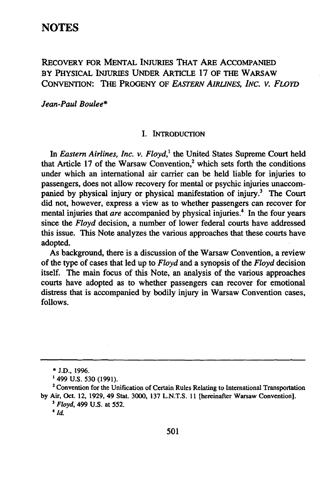# **RECOVERY FOR MENTAL INJURIES THAT ARE ACCOMPANIED BY PHYSICAL INJURIES UNDER ARTICLE 17 OF THE WARSAW CONVENTION: THE PROGENY OF** *EASTERN AIRLNES, INC. V. FLOYD*

*Jean-Paul Boulee\**

### **I. INTRODUCrION**

In *Eastern Airlines, Inc. v. Floyd*,<sup>1</sup> the United States Supreme Court held that Article 17 of the Warsaw Convention,<sup>2</sup> which sets forth the conditions under which an international air carrier can be held liable for injuries to passengers, does not allow recovery for mental or psychic injuries unaccompanied by physical injury or physical manifestation of injury.<sup>3</sup> The Court did not, however, express a view as to whether passengers can recover for mental injuries that *are* accompanied by physical injuries.<sup>4</sup> In the four years since the *Floyd* decision, a number of lower federal courts have addressed this issue. This Note analyzes the various approaches that these courts have adopted.

As background, there is a discussion of the Warsaw Convention, a review of the type of cases that led up to *Floyd* and a synopsis of the *Floyd* decision itself. The main focus of this Note, an analysis of the various approaches courts have adopted as to whether passengers can recover for emotional distress that is accompanied **by** bodily injury in Warsaw Convention cases, **follows.**

**<sup>\*</sup> J.D., 1996.**

<sup>&</sup>lt;sup>1</sup> 499 U.S. 530 (1991).<br><sup>2</sup> Convention for the Unification of Certain Rules Relating to International Transportation **by** Air, **Oct.** 12, **1929,** 49 Stat. **3000, 137 L.N.T.S. 11** [hereinafter Warsaw Convention].

*<sup>3</sup>* **Floyd, 499 U.S.** at **552.**

*<sup>4</sup> id.*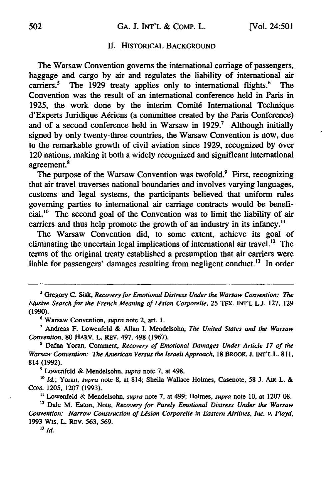### **II.** HISTORICAL **BACKGROUND**

The Warsaw Convention governs the international carriage of passengers, baggage and cargo **by** air and regulates the liability of international air carriers.<sup>5</sup> The 1929 treaty applies only to international flights.<sup>6</sup> The Convention was the result of an international conference held in Paris in **1925,** the work done **by** the interim Comit6 International Technique d'Experts Juridique A6riens (a committee created **by** the Paris Conference) and of a second conference held in Warsaw in **1929.'** Although initially signed **by** only twenty-three countries, the Warsaw Convention is now, due to the remarkable growth of civil aviation since **1929,** recognized **by** over 120 nations, making it both a widely recognized and significant international agreement.<sup>8</sup>

The purpose of the Warsaw Convention was twofold. $9$  First, recognizing that air travel traverses national boundaries and involves varying languages, customs and legal systems, the participants believed that uniform rules governing parties to international air carriage contracts would be beneficial.1° The second goal of the Convention was to limit the liability of air carriers and thus help promote the growth of an industry in its infancy.<sup>11</sup>

The Warsaw Convention did, to some extent, achieve its goal of eliminating the uncertain legal implications of international air travel.<sup>12</sup> The terms of the original treaty established a presumption that air carriers were liable for passengers' damages resulting from negligent conduct.<sup>13</sup> In order

**<sup>8</sup>**Dafna Yoran, Comment, *Recovery of Emotional Damages Under Article 17 of the Warsaw Convention: The American Versus the Israeli Approach,* 18 BROOK. J. INT'L L. **811,** 814 (1992).

**9** Lowenfeld & Mendelsohn, *supra* note **7,** at 498.

<sup>10</sup> *Id.*; Yoran, *supra* note 8, at 814; Sheila Wallace Holmes, Casenote, 58 J. AIR L. & COM. 1205, 1207 (1993).

**"** Lowenfeld & Mendelsohn, *supra* note **7,** at 499; Holmes, *supra* note **10,** at 1207-08.

**12** Dale M. Eaton, Note, *Recovery for Purely Emotional Distress Under the Warsaw Convention: Narrow Construction of Usion Corporelle in Eastern Airlines, Inc. v. Floyd,* **1993** Wis. L. REV. **563, 569.**

**<sup>5</sup>**Gregory **C.** Sisk, *Recovery for Emotional Distress Under the Warsaw Convention: The Elusive Search for the French Meaning of Ldsion Corporelle,* **25 TEX.** INT'L **L.J. 127, 129** (1990).

**<sup>6</sup>** Warsaw Convention, *supra* note 2, art. **1.**

Andreas F. Lowenfeld & Allan **I.** Mendelsohn, *The United States and the Warsaw Convention,* 80 HARV. L. REV. 497, 498 (1967).

*<sup>13</sup> Id.*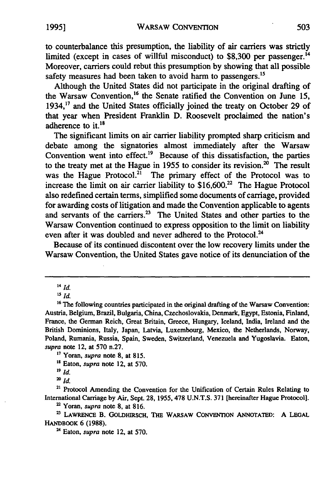to counterbalance this presumption, the liability of air carriers was strictly limited (except in cases of willful misconduct) to \$8,300 per passenger.<sup>14</sup> Moreover, carriers could rebut this presumption by showing that all possible safety measures had been taken to avoid harm to passengers.<sup>15</sup>

Although the United States did not participate in the original drafting of the Warsaw Convention,<sup>16</sup> the Senate ratified the Convention on June 15, 1934.<sup>17</sup> and the United States officially joined the treaty on October 29 of that year when President Franklin D. Roosevelt proclaimed the nation's adherence to it.<sup>18</sup>

The significant limits on air carrier liability prompted sharp criticism and debate among the signatories almost immediately after the Warsaw Convention went into effect.<sup>19</sup> Because of this dissatisfaction, the parties to the treaty met at the Hague in 1955 to consider its revision.<sup>20</sup> The result was the Hague Protocol.<sup>21</sup> The primary effect of the Protocol was to increase the limit on air carrier liability to  $$16,600.<sup>22</sup>$  The Hague Protocol also redefined certain terms, simplified some documents of carriage, provided for awarding costs of litigation and made the Convention applicable to agents and servants of the carriers.<sup>23</sup> The United States and other parties to the Warsaw Convention continued to express opposition to the limit on liability even after it was doubled and never adhered to the Protocol.<sup>24</sup>

Because of its continued discontent over the low recovery limits under the Warsaw Convention, the United States gave notice of its denunciation of the

 $\frac{14}{10}$  *Id.* 

**<sup>17</sup>**Yoran, *supra* note **8,** at **815.**

**'8** Eaton, *supra* note 12, at **570.**

20 *Id.*

<sup>21</sup> Protocol Amending the Convention for the Unification of Certain Rules Relating to International Carriage by Air, Sept. **28,** 1955, 478 U.N.T.S. 371 [hereinafter Hague Protocol].

**'** Yoran, *supra* note 8, at 816.

**2** LAWRENCE B. GOLDHIRSCH, THE WARSAW CONVENTION **ANNOTATED: A LEGAL** HANDBOOK **6 (1988).**

**<sup>24</sup>**Eaton, *supra* note 12, at **570.**

tu.<br><sup>16</sup> The following countries participated in the original drafting of the Warsaw Convention Austria, Belgium, Brazil, Bulgaria, China, Czechoslovakia, Denmark, **Egypt,** Estonia, Finland, France, the German Reich, Great Britain, Greece, Hungary, Iceland, India, Ireland and the British Dominions, Italy, Japan, Latvia, Luxembourg, Mexico, the Netherlands, Norway, Poland, Rumania, Russia, Spain, Sweden, Switzerland, Venezuela and Yugoslavia. Eaton, *supra* note 12, at **570** n.27.

**<sup>19</sup>** *Id.*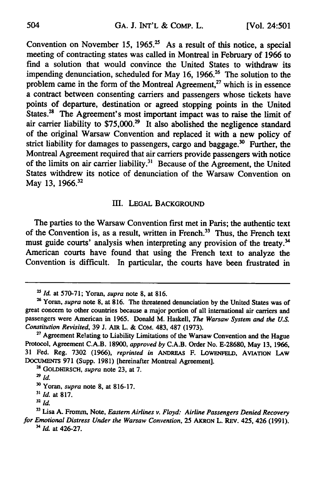Convention on November 15, 1965.<sup>25</sup> As a result of this notice, a special meeting of contracting states was called in Montreal in February of 1966 to find a solution that would convince the United States to withdraw its impending denunciation, scheduled for May 16, 1966.<sup>26</sup> The solution to the problem came in the form of the Montreal Agreement,<sup>27</sup> which is in essence a contract between consenting carriers and passengers whose tickets have points of departure, destination or agreed stopping points in the United States.<sup>28</sup> The Agreement's most important impact was to raise the limit of air carrier liability to  $$75,000.<sup>29</sup>$  It also abolished the negligence standard of the original Warsaw Convention and replaced it with a new policy of strict liability for damages to passengers, cargo and baggage.<sup>30</sup> Further, the Montreal Agreement required that air carriers provide passengers with notice of the limits on air carrier liability.<sup>31</sup> Because of the Agreement, the United States withdrew its notice of denunciation of the Warsaw Convention on May 13, 1966.<sup>32</sup>

### **III. LEGAL** BACKGROUND

The parties to the Warsaw Convention first met in Paris; the authentic text of the Convention is, as a result, written in French.<sup>33</sup> Thus, the French text must guide courts' analysis when interpreting any provision of the treaty.<sup>34</sup> American courts have found that using the French text to analyze the Convention is difficult. In particular, the courts have been frustrated in

<sup>28</sup> GOLDHIRSCH, *supra* note 23, at 7.

*<sup>&#</sup>x27; Id.* at 570-71; Yoran, *supra* note 8, at 816.

<sup>&</sup>lt;sup>26</sup> Yoran, *supra* note 8, at 816. The threatened denunciation by the United States was of great concern to other countries because a major portion of all international air carriers and passengers were American in 1965. Donald M. Haskell, *The Warsaw System and the U.S. Constitution Revisited,* 39 J. AIR L. & COM. 483, **487** (1973).

**<sup>&</sup>quot;** Agreement Relating to Liability Limitations of the Warsaw Convention and the Hague Protocol, Agreement **C.A.B. 18900,** *approved by* **C.A.B.** Order No. **E-28680,** May **13, 1966, 31** Fed. Reg. **7302 (1966),** *reprinted in* **ANDRFAS** F. **LOWFNFELD,** AVIATION **LAW DOCUMENTS 971** (Supp. **1981)** [hereinafter Montreal Agreement].

**<sup>29</sup>** *id.*

**<sup>&#</sup>x27;0** Yoran, *supra* note **8,** at **816-17.**

*<sup>&</sup>quot; Id.* at **817.**

**<sup>32</sup>** *id.*

**<sup>33</sup>**Lisa **A.** Fromm, Note, *Eastern Airlines v. Floyd: Airline Passengers Denied Recovery for Emotional Distress Under the Warsaw Convention,* **25 AKRON** L. REV. 425, 426 **(1991).** <sup>34</sup> *Id.* at 426-27.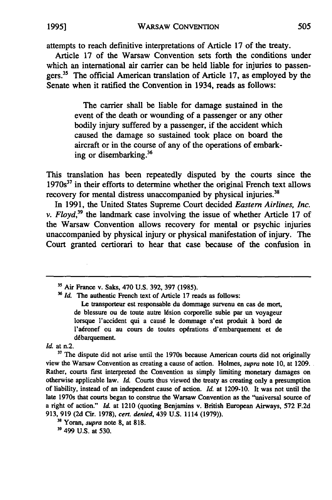attempts to reach definitive interpretations of Article **17** of the treaty.

Article 17 of the Warsaw Convention sets forth the conditions under which an international air carrier can be held liable for injuries to passengers.<sup>35</sup> The official American translation of Article 17, as employed by the Senate when it ratified the Convention in 1934, reads as follows:

> The carrier shall be liable for damage sustained in the event of the death or wounding of a passenger or any other bodily injury suffered by a passenger, if the accident which caused the damage so sustained took place on board the aircraft or in the course of any of the operations of embarking or disembarking.36

This translation has been repeatedly disputed by the courts since the **1970s <sup>37</sup>**in their efforts to determine whether the original French text allows recovery for mental distress unaccompanied by physical injuries.<sup>38</sup>

In 1991, the United States Supreme Court decided *Eastern Airlines, Inc. v. Floyd,39* the landmark case involving the issue of whether Article 17 of the Warsaw Convention allows recovery for mental or psychic injuries unaccompanied by physical injury or physical manifestation of injury. The Court granted certiorari to hear that case because of the confusion in

<sup>36</sup> Id. The authentic French text of Article 17 reads as follows:

Le transporteur est responsable du dommage survenu en cas de mort, de blessure ou de toute autre lésion corporelle subie par un voyageur lorsque l'accident qui a caus6 le dommage s'est produit **A** bord de l'aéronef ou au cours de toutes opérations d'embarquement et de debarquement.

*Id.* at n.2.

<sup>37</sup> The dispute did not arise until the 1970s because American courts did not originally view the Warsaw Convention as creating a cause of action. Holmes, *supra* note **10,** at **1209.** Rather, courts first interpreted the Convention as simply limiting monetary damages on otherwise applicable law. *Id.* Courts thus viewed the treaty as creating only a presumption of liability, instead of an independent cause of action. *Id.* at **1209-10.** It was not until the late 1970s that courts began to construe the Warsaw Convention as the "universal source of a right of action." *Id.* at 1210 (quoting Benjamins v. British European Airways, **572 F.2d 913, 919 (2d** Cir. 1978), *cert. denied,* 439 **U.S. 1114 (1979)).**

**3** Yoran, *supra* note **8,** at **818.**

**"** 499 **U.S.** at 530.

**<sup>3-</sup>** Air France v. Saks, 470 U.S. 392, 397 **(1985).**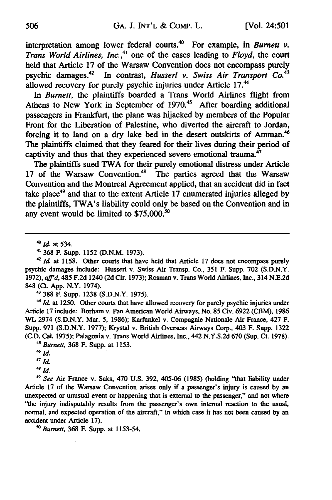interpretation among lower federal courts.<sup>40</sup> For example, in *Burnett v*. *Trans World Airlines, Inc.,"* one **of the cases** leading to *Floyd,* the court held that Article **17** of the Warsaw Convention does not encompass purely psychic damages. 42 In contrast, *Husserl v. Swiss Air Transport Co.<sup>43</sup>* allowed recovery for purely psychic injuries under Article 17.<sup>44</sup>

In *Burnett*, the plaintiffs boarded a Trans World Airlines flight from Athens to New York **in** September of **1970.'5** After boarding additional passengers in Frankfurt, the plane was hijacked **by** members of the Popular Front for the Liberation of Palestine, who diverted the aircraft to Jordan, forcing it to land on a dry lake bed in the desert outskirts of Amman.<sup>46</sup> The plaintiffs claimed that they feared for their lives during their period of captivity and thus that they experienced severe emotional trauma.<sup>4</sup>

The plaintiffs sued TWA for their purely emotional distress under Article **17** of the Warsaw Convention.48 The parties agreed that the Warsaw Convention and the Montreal Agreement applied, that an accident did in fact take place49 and that to the extent Article **17** enumerated injuries alleged **by** the plaintiffs, TWA's liability could only be based on the Convention and in any event would be limited to **\$75,000."°**

44 at **1250.** Other courts that have allowed recovery for purely psychic injuries under Article **17** include: Borham v. Pan American World Airways, No. **85** Civ. **6922** (CBM), **1986** WL 2974 **(S.D.N.Y.** Mar. **5, 1986);** Karfunkel v. Compagnie Nationale Air France, 427 F. Supp. **971 (S.D.N.Y. 1977);** Krystal v. British Overseas Airways Corp., 403 F. Supp. **1322 (C.D.** Cal. **1975);** Palagonia v. Trans World Airlines, Inc., 442 **N.Y.S.2d 670** (Sup. Ct. **1978).**

*<sup>45</sup>*Burnett, **368** F. Supp. at **1153.** *46 m*

*4* See Air France v. Saks, 470 **U.S. 392,** 405-06 **(1985)** (holding "that liability under Article **17** of the Warsaw Convention arises only if a passenger's injury is caused **by** an unexpected or unusual event or happening that is external to the passenger," and not where "the injury indisputably results from the passenger's own internal reaction to the usual, normal, and expected operation of the aircraft," in which case it has not been caused **by** an accident under Article **17).**

**" Burnett, 368** F. Supp. at **1153-54.**

*<sup>40</sup>*Id at 534.

**<sup>41 368</sup>** F. Supp. **1152 (D.N.M. 1973).**

<sup>&</sup>lt;sup>42</sup> *Id.* at 1158. Other courts that have held that Article 17 does not encompass purely psychic damages include: Husserl v. Swiss Air Transp. Co., **351** F. Supp. **702 (S.D.N.Y. 1972),** aff'd, 485 **F.2d** 1240 **(2d** Cir. **1973);** Rosman v. Trans World Airlines, Inc., 314 **N.E.2d** 848 (Ct. **App.** N.Y. 1974). **' 388** F. Supp. **1238 (S.D.N.Y. 1975).**

<sup>47</sup> **id.** 4 *Id.*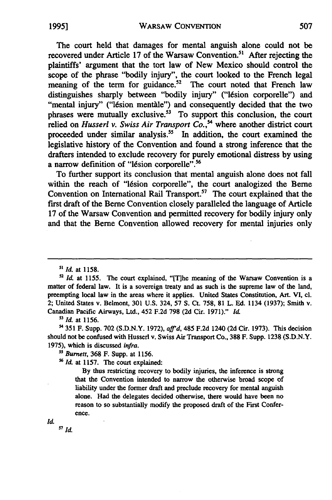The court held that damages for mental anguish alone could not be recovered under Article 17 of the Warsaw Convention.<sup>51</sup> After rejecting the plaintiffs' argument that the tort law of New Mexico should control the scope of the phrase "bodily injury", the court looked to the French legal meaning of the term for guidance.<sup>52</sup> The court noted that French law distinguishes sharply between "bodily injury" ("lésion corporelle") and "mental injury" ("lésion mentàle") and consequently decided that the two phrases were mutually exclusive. $53$  To support this conclusion, the court relied on *Husserl v. Swiss Air Transport Co.*,<sup>54</sup> where another district court proceeded under similar analysis.<sup>55</sup> In addition, the court examined the legislative history of the Convention and found a strong inference that the drafters intended to exclude recovery for purely emotional distress by using a narrow definition of "lésion corporelle".<sup>56</sup>

To further support its conclusion that mental anguish alone does not fall within the reach of "lésion corporelle", the court analogized the Berne Convention on International Rail Transport.<sup>57</sup> The court explained that the first draft of the Berne Convention closely paralleled the language of Article 17 of the Warsaw Convention and permitted recovery for bodily injury only and that the Berne Convention allowed recovery for mental injuries only

5 *Id.* at **1156.**

54 **351** F. Supp. **702 (S.D.N.Y. 1972),** *aftrd,* 485 **F.2d** 1240 **(2d** Cir. **1973).** This decision should not be confused with Husserl v. Swiss Air Transport Co., **388** F. Supp. **1238 (S.D.N.Y. 1975),** which is discussed infra.

**55** *Burnett,* **368** F. Supp. at **1156.**

**5'6** *Id.* at **1157.** The court explained:

**By** thus restricting recovery to bodily injuries, the inference is strong that the Convention intended to narrow the otherwise broad scope of liability under the former draft and preclude recovery for mental anguish alone. Had the delegates decided otherwise, there would have been no reason to so substantially modify the proposed draft of the First Conference.

Id.

*Id.* m *id.*

**<sup>51</sup>** *Id.* at 1158.

<sup>&</sup>lt;sup>52</sup> *Id.* at 1155. The court explained, "[T]he meaning of the Warsaw Convention is a matter of federal law. It is a sovereign treaty and as such is the supreme law of the land, preempting local law in the areas where it applies. United States Constitution, Art. VI, **cl.** 2; United States v. Belmont, **301 U.S.** 324, **57 S.** Ct. 758, **81** L. **Ed.** 1134 **(1937);** Smith v. Canadian Pacific Airways, Ltd., 452 **F.2d 798 (2d** Cir. 1971)." *I1&*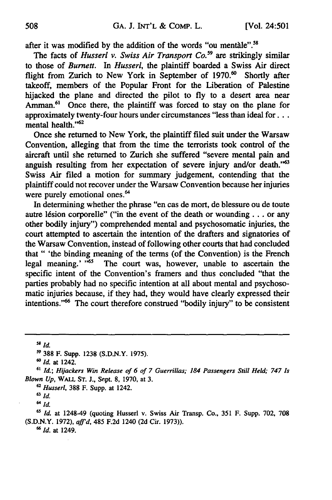after it was modified by the addition of the words "ou mentale".<sup>58</sup>

The facts of *Husserl v. Swiss Air Transport Co.59* are strikingly similar to those of *Burnett. In Husserl,* the plaintiff boarded a Swiss Air direct flight from Zurich to New York in September of 1970.<sup>60</sup> Shortly after takeoff, members of the Popular Front for the Liberation of Palestine hijacked the plane and directed the pilot to **fly** to a desert area near Amman. $61$  Once there, the plaintiff was forced to stay on the plane for approximately twenty-four hours under circumstances "less than ideal for . . . mental health."<sup>62</sup>

Once she returned to New York, the plaintiff filed suit under the Warsaw Convention, alleging that from the time the terrorists took control of the aircraft until she returned to Zurich she suffered "severe mental pain and anguish resulting from her expectation of severe injury and/or death."63 Swiss Air filed a motion for summary judgement, contending that the plaintiff could not recover under the Warsaw Convention because her injuries were purely emotional ones.<sup>64</sup>

In determining whether the phrase "en cas de mort, de blessure ou de toute autre lésion corporelle" ("in the event of the death or wounding... or any other bodily injury") comprehended mental and psychosomatic injuries, the court attempted to ascertain the intention of the drafters and signatories of the Warsaw Convention, instead of following other courts that had concluded that " 'the binding meaning of the terms (of the Convention) is the French legal meaning.' **"65** The court was, however, unable to ascertain the specific intent of the Convention's framers and thus concluded "that the parties probably had no specific intention at all about mental and psychosomatic injuries because, if they had, they would have clearly expressed their intentions."<sup>66</sup> The court therefore construed "bodily injury" to be consistent

**<sup>5</sup> Id**

*64 id.*

**<sup>6</sup>***Id.* at 1248-49 (quoting Husserl v. Swiss Air Transp. Co., 351 F. Supp. **702, 708 (S.D.N.Y. 1972),** *affid,* 485 **F.2d** 1240 **(2d** Cir. **1973)).**

*6Id.* at 1249.

**<sup>388</sup>** F. Supp. **1238 (S.D.N.Y. 1975).**

*r° Id* at 1242.

**<sup>6&#</sup>x27;** *Id.; Hijackers Win Release of 6 of 7 Guerrillas; 184 Passengers Still Held; 747 Is Blown Up,* WALL **ST. J.,** Sept. **8, 1970,** at **3.**

**<sup>62</sup>***Husserl,* **388** F. Supp. at 1242.

**<sup>63</sup>** *id.*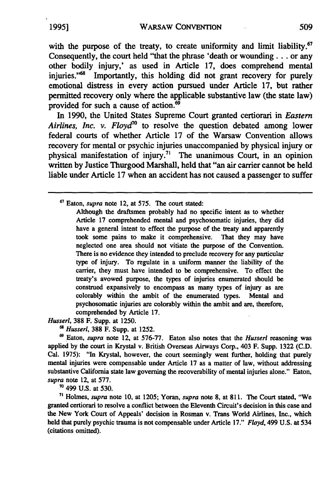with the purpose of the treaty, to create uniformity and limit liability.<sup>67</sup> Consequently, the court held "that the phrase 'death or wounding... or any other bodily injury,' as used in Article 17, does comprehend mental injuries."<sup>68</sup> Importantly, this holding did not grant recovery for purely emotional distress in every action pursued under Article 17, but rather permitted recovery only where the applicable substantive law (the state law) provided for such a cause of action. $69$ 

In 1990, the United States Supreme Court granted certiorari in *Eastern Airlines, Inc. v. Floyd7°* to resolve the question debated among lower federal courts of whether Article 17 of the Warsaw Convention allows recovery for mental or psychic injuries unaccompanied by physical injury or physical manifestation of injury.7' The unanimous Court, in an opinion written **by** Justice Thurgood Marshall, held that "an air carrier cannot be held liable under Article 17 when an accident has not caused a passenger to suffer

*Husserl,* **388** F. Supp. at 1250.

*6 Husserl,* **388** F. Supp. at 1252.

69Eaton, *supra* note 12, at 576-77. Eaton also notes that the *Husserl* reasoning was applied by the court in Krystal v. British Overseas Airways Corp., 403 F. Supp. 1322 (C.D. Cal. 1975): "In Krystal, however, the court seemingly went further, holding that purely mental injuries were compensable under Article 17 as a matter of law, without addressing substantive California state law governing the recoverability of mental injuries alone." Eaton, *supra* note 12, at 577.

**70** 499 U.S. at 530.

**<sup>71</sup>**Holmes, *supra* note 10, at 1205; Yoran, *supra* note **8,** at 811. The Court stated, "We granted certiorari to resolve a conflict between the Eleventh Circuit's decision in this case and the New York Court of Appeals' decision in Rosman v. Trans World Airlines, Inc., which held that purely psychic trauma is not compensable under Article **17."** *Floyd,* 499 **U.S.** at 534 (citations omitted).

**<sup>67</sup>**Eaton, *supra* note 12, at 575. The court stated:

Although the draftsmen probably had no specific intent as to whether Article 17 comprehended mental and psychosomatic injuries, they did have a general intent to effect the purpose of the treaty and apparently took some pains to make it comprehensive. That they may have neglected one area should not vitiate the purpose of the Convention. There is no evidence they intended to preclude recovery for any particular type of injury. To regulate in a uniform manner the liability of the carrier, they must have intended to be comprehensive. To effect the treaty's avowed purpose, the types of injuries enumerated should be construed expansively to encompass as many types of injury as are colorably within the ambit of the enumerated types. Mental and psychosomatic injuries are colorably within the ambit and are, therefore, comprehended by Article 17.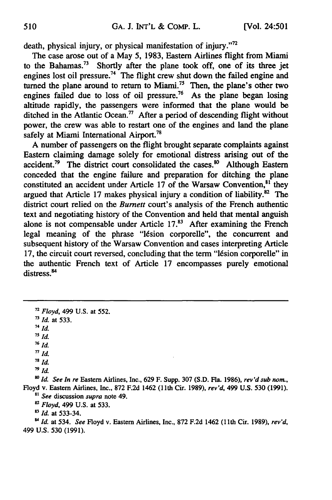death, physical injury, or physical manifestation of injury."72

The case arose out of a May 5, 1983, Eastern Airlines flight from Miami to the Bahamas.<sup>73</sup> Shortly after the plane took off, one of its three jet engines lost oil pressure.<sup>74</sup> The flight crew shut down the failed engine and turned the plane around to return to Miami.<sup>75</sup> Then, the plane's other two engines failed due to loss of oil pressure.<sup>76</sup> As the plane began losing altitude rapidly, the passengers were informed that the plane would be ditched in the Atlantic Ocean.<sup>77</sup> After a period of descending flight without power, the crew was able to restart one of the engines and land the plane safely at Miami International Airport.<sup>78</sup>

A number of passengers on the flight brought separate complaints against Eastern claiming damage solely for emotional distress arising out of the accident.<sup>79</sup> The district court consolidated the cases.<sup>80</sup> Although Eastern conceded that the engine failure and preparation for ditching the plane constituted an accident under Article 17 of the Warsaw Convention,<sup>81</sup> they argued that Article 17 makes physical injury a condition of liability. $82$  The district court relied on the *Burnett* court's analysis of the French authentic text and negotiating history of the Convention and held that mental anguish alone is not compensable under Article  $17<sup>83</sup>$  After examining the French legal meaning of the phrase "16sion corporelle", the concurrent and subsequent history of the Warsaw Convention and cases interpreting Article 17, the circuit court reversed, concluding that the term "lésion corporelle" in the authentic French text of Article 17 encompasses purely emotional distress.<sup>84</sup>

*o Id. See In re* Eastern Airlines, Inc., **629** F. Supp. **307 (S.D.** Fla. **1986),** *rev'd sub nor.,* Floyd v. Eastern Airlines, Inc., **872 F.2d** 1462 **(1** 1th Cir. **1989),** *rev'd,* 499 **U.S. 530 (1991).** *8 See* discussion *supra* note 49.

*8' Floyd,* 499 U.S. at 533.

*Id.* at 533-34.

" *Id.* at 534. *See* Floyd v. Eastern Airlines, Inc., 872 F.2d 1462 **(11th** Cir. 1989), *rev'd,* 499 U.S. 530 (1991).

*<sup>72</sup>Floyd,* 499 U.S. at 552. *<sup>73</sup>Id.* at 533. 74 *Id. 75Id.* **<sup>76</sup>***Id.*  $\frac{\pi}{d}$ *78 Id.* **79id.**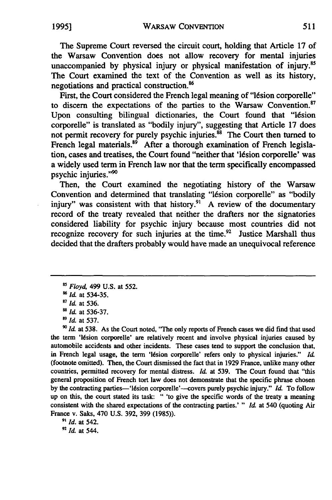The Supreme Court reversed the circuit court, holding that Article 17 of the Warsaw Convention does not allow recovery for mental injuries unaccompanied by physical injury or physical manifestation of injury.<sup>85</sup> The Court examined the text of the Convention as well as its history, negotiations and practical construction.<sup>86</sup>

First, the Court considered the French legal meaning of "lésion corporelle" to discern the expectations of the parties to the Warsaw Convention.<sup>87</sup> Upon consulting bilingual dictionaries, the Court found that "16sion corporelle" is translated as "bodily injury", suggesting that Article **17** does not permit recovery for purely psychic injuries.<sup>88</sup> The Court then turned to French legal materials. $89$  After a thorough examination of French legislation, cases and treatises, the Court found "neither that '16sion corporelle' was a widely used term in French law nor that the term specifically encompassed psychic injuries."<sup>90</sup>

Then, the Court examined the negotiating history of the Warsaw Convention and determined that translating "16sion corporelle" as "bodily injury" was consistent with that history.<sup>91</sup> A review of the documentary record of the treaty revealed that neither the drafters nor the signatories considered liability for psychic injury because most countries did not recognize recovery for such injuries at the time.<sup>92</sup> Justice Marshall thus decided that the drafters probably would have made an unequivocal reference

**90** Id at **538.** As the Court noted, "The only reports of French cases we did find that used the term 'Idsion corporelle' are relatively recent and involve physical injuries caused **by** automobile accidents and other incidents. These cases tend to support the conclusion that, in French legal usage, the term 'lésion corporelle' refers only to physical injuries." *Id.* (footnote omitted). Then, the Court dismissed the fact that in 1929 France, unlike many other countries, permitted recovery for mental distress. *Id* at **539.** The Court found that "this general proposition of French tort law does not demonstrate that the specific phrase chosen by the contracting parties-'lésion corporelle'--covers purely psychic injury." *Id*. To follow up on this, the court stated its task: " 'to give the specific words of the treaty a meaning consistent with the shared expectations of the contracting parties.' " *Id* at 540 (quoting Air France v. Saks, 470 U.S. 392, 399 (1985)).

*"' Id.* at 542. *9id.* at 544.

Floyd, 499 **U.S.** at 552.

<sup>&</sup>lt;sup>86</sup> *Id.* at 534-35.

*<sup>&#</sup>x27;7Id.* at 536.

<sup>&</sup>lt;sup>88</sup> *Id.* at 536-37.

*<sup>89</sup>Id.* at 537.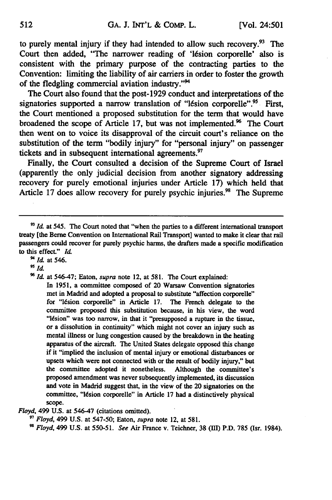to purely mental injury if they had intended to allow such recovery. $93$  The Court then added, "The narrower reading of 'l6sion corporelle' also is consistent with the primary purpose of the contracting parties to the Convention: limiting the liability of air carriers in order to foster the growth of the fledgling commercial aviation industry."<sup>94</sup>

The Court also found that the post-1929 conduct and interpretations of the signatories supported a narrow translation of "lésion corporelle".<sup>95</sup> First, the Court mentioned a proposed substitution for the term that would have broadened the scope of Article **17,** but was not implemented." The Court then went on to voice its disapproval of the circuit court's reliance on the substitution of the term "bodily injury" for "personal injury" on passenger tickets and in subsequent international agreements.<sup>97</sup>

Finally, the Court consulted a decision of the Supreme Court of Israel (apparently the only judicial decision from another signatory addressing recovery for purely emotional injuries under Article **17)** which held that Article 17 does allow recovery for purely psychic injuries.<sup>98</sup> The Supreme

In **1951,** a committee composed of 20 Warsaw Convention signatories met in Madrid and adopted a proposal to substitute "affection corporelle" for "lésion corporelle" in Article 17. The French delegate to the committee proposed this substitution because, in his view, the word "lésion" was too narrow, in that it "presupposed a rupture in the tissue, or a dissolution in continuity" which might not cover an injury such as mental illness or lung congestion caused **by** the breakdown in the heating apparatus of the aircraft. The United States delegate opposed this change if it "implied the inclusion of mental injury or emotional disturbances or upsets which were not connected with or the result of bodily injury," but the committee adopted it nonetheless. Although the committee's proposed amendment was never subsequently implemented, its discussion and vote in Madrid suggest that, in the view of the 20 signatories on the committee, "lesion corporelle" in Article **17** had a distinctively physical scope.

*Floyd,* 499 **U.S.** at 546-47 (citations omitted).

**97** *Floyd,* 499 **U.S.** at **547-50;** Eaton, *supra* note 12, at **581.**

**98** *Floyd,* 499 **U.S.** at **550-51.** *See* Air France v. Teichner, **38** (111) P.D. **785** (Isr. 1984).

<sup>&</sup>lt;sup>93</sup> Id. at 545. The Court noted that "when the parties to a different international transport treaty [the Berne Convention on International Rail Transport] wanted to make it clear that rail passengers could recover for purely psychic harms, the drafters made a specific modification to this effect." *d*

<sup>&</sup>lt;sup>94</sup> *Id.* at 546.

<sup>&</sup>lt;sup>95</sup> *Id.* 

**<sup>9</sup>Id.** at 546-47; Eaton, supra note 12, at **581.** The Court explained: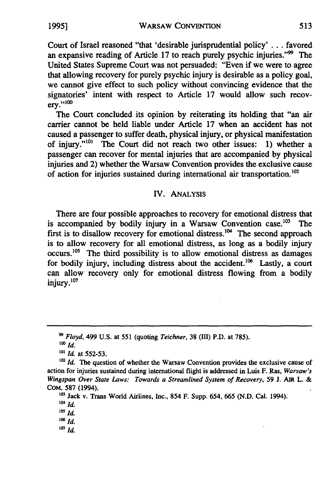WARSAW CONVENTION

Court of Israel reasoned "that 'desirable jurisprudential policy' ... favored an expansive reading of Article 17 to reach purely psychic injuries."<sup>99</sup> The United States Supreme Court was not persuaded: "Even if we were to agree that allowing recovery for purely psychic injury is desirable as a policy goal, we cannot give effect to such policy without convincing evidence that the signatories' intent with respect to Article 17 would allow such recov $erv.$ "100

The Court concluded its opinion **by** reiterating its holding that "an air carrier cannot be held liable under Article 17 when an accident has not caused a passenger to suffer death, physical injury, or physical manifestation of injury."<sup>101</sup> The Court did not reach two other issues: 1) whether a passenger can recover for mental injuries that are accompanied by physical injuries and 2) whether the Warsaw Convention provides the exclusive cause of action for injuries sustained during international air transportation.<sup>102</sup>

## IV. ANALYSIS

There are four possible approaches to recovery for emotional distress that is accompanied by bodily injury in a Warsaw Convention case.<sup>103</sup> The first is to disallow recovery for emotional distress.<sup>104</sup> The second approach is to allow recovery for all emotional distress, as long as a bodily injury occurs.<sup>105</sup> The third possibility is to allow emotional distress as damages for bodily injury, including distress about the accident.<sup>106</sup> Lastly, a court can allow recovery only for emotional distress flowing from a bodily injury. $107$ 

**<sup>99</sup>***Floyd,* 499 U.S. at 551 (quoting *Teichner,* 38 (III) P.D. at 785). *100 Id.*

*<sup>&#</sup>x27;01 Id.* at 552-53.

<sup>&</sup>lt;sup>102</sup> *Id.* The question of whether the Warsaw Convention provides the exclusive cause of action for injuries sustained during international flight is addressed in Luis F. Ras, *Warsaw's Wingspan Over State Laws: Towards a Streamlined System of Recovery,* 59 **J.** AIR L. & **COM. 587** (1994).

**<sup>103</sup>** Jack v. Trans World Airlines, Inc., 854 F. Supp. 654, 665 (N.D. Cal. 1994).

**<sup>104</sup>** *Id.*

**<sup>105</sup>** *Id.*

*<sup>10</sup>Id.*

**<sup>107</sup>** *id.*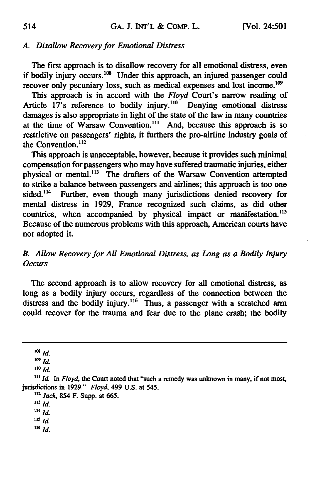# *A. Disallow Recovery for Emotional Distress*

The first approach is to disallow recovery for all emotional distress, even if bodily injury occurs. $108$  Under this approach, an injured passenger could recover only pecuniary loss, such as medical expenses and lost income.<sup>109</sup>

This approach is in accord with the *Floyd* Court's narrow reading of Article 17's reference to bodily injury.<sup>110</sup> Denying emotional distress damages is also appropriate in light of the state of the law in many countries at the time of Warsaw Convention.<sup>111</sup> And, because this approach is so restrictive on passengers' rights, it furthers the pro-airline industry goals of the Convention.<sup>112</sup>

This approach is unacceptable, however, because it provides such minimal compensation for passengers who may have suffered traumatic injuries, either physical or mental.<sup>113</sup> The drafters of the Warsaw Convention attempted to strike a balance between passengers and airlines; this approach is too one sided.<sup>114</sup> Further, even though many jurisdictions denied recovery for mental distress in **1929,** France recognized such claims, as did other countries, when accompanied by physical impact or manifestation.<sup>115</sup> Because of the numerous problems with this approach, American courts have not adopted it.

# *B. Allow Recovery for All Emotional Distress, as Long as a Bodily Injury Occurs*

The second approach is to allow recovery for all emotional distress, as long as a bodily injury occurs, regardless of the connection between the distress and the bodily injury.<sup>116</sup> Thus, a passenger with a scratched arm could recover for the trauma and fear due to the plane crash; the bodily

 $108$  *Id.* 

 $109$  *Id.* 

*110 Id.*

*"2 Jack,* 854 F. Supp. at **665.**

**<sup>113</sup>***Id.*

**<sup>114</sup>***Id.*

**115** *Id.*

**116** *Id.*

 $111$  *Id.* In *Floyd*, the Court noted that "such a remedy was unknown in many, if not most, jurisdictions in 1929." *Floyd,* 499 U.S. at **545.**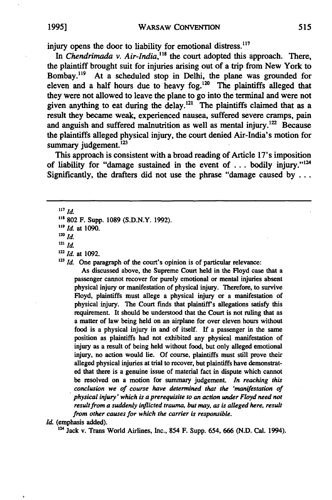injury opens the door to liability for emotional distress.<sup>117</sup>

In *Chendrimada v. Air-India*,<sup>118</sup> the court adopted this approach. There, the plaintiff brought suit for injuries arising out of a trip from New York to Bombay.<sup>119</sup> At a scheduled stop in Delhi, the plane was grounded for eleven and a half hours due to heavy fog.<sup>120</sup> The plaintiffs alleged that they were not allowed to leave the plane to go into the terminal and were not given anything to eat during the delay.<sup>121</sup> The plaintiffs claimed that as a result they became weak, experienced nausea, suffered severe cramps, pain and anguish and suffered malnutrition as well as mental injury.<sup>122</sup> Because the plaintiffs alleged physical injury, the court denied Air-India's motion for summary judgement. $^{123}$ 

This approach is consistent with a broad reading of Article 17's imposition of liability for "damage sustained in the event of ... bodily injury."<sup>12</sup> Significantly, the drafters did not use the phrase "damage caused by  $\dots$ 

**<sup>117</sup>***id.*

<sup>119</sup> *Id.* at 1090.

*120 id.*

- **121** *Id,*
- *2Id.* at 1092.

<sup>123</sup> *Id.* One paragraph of the court's opinion is of particular relevance:

As discussed above, the Supreme Court held in the Floyd case that a passenger cannot recover for purely emotional or mental injuries absent physical injury or manifestation of physical injury. Therefore, to survive Floyd, plaintiffs must allege a physical injury or a manifestation of physical injury. The Court finds that plaintiff's allegations satisfy this requirement. It should be understood that the Court is not ruling that as a matter of law being held on an airplane for over eleven hours without food is a physical injury in and of itself. If a passenger in the same position as plaintiffs had not exhibited any physical manifestation of injury as a result of being held without food, but only alleged emotional injury, no action would lie. Of course, plaintiffs must still prove their alleged physical injuries at trial to recover, but plaintiffs have demonstrated that there is a genuine issue of material fact in dispute which cannot be resolved on a motion for summary judgement. *In reaching this conclusion we of course have determined that the 'manifestation of physical injury' which is a prerequisite to an action under Floyd need not result from a suddenly inflicted trauma, but may, as is alleged here, result from other causes for which the carrier is responsible.*

*Id.* (emphasis added).  $^{124}$  Jack v. Trans World Airlines, Inc., 854 F. Supp. 654, 666 (N.D. Cal. 1994).

**<sup>8</sup>**802 F. Supp. 1089 (S.D.N.Y. 1992).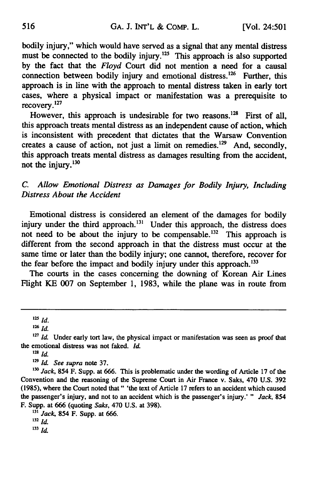bodily injury," which would have served as a signal that any mental distress must be connected to the bodily injury.<sup>125</sup> This approach is also supported by the fact that the *Floyd* Court did not mention a need for a causal connection between bodily injury and emotional distress.<sup>126</sup> Further, this approach is in line with the approach to mental distress taken in early tort cases, where a physical impact or manifestation was a prerequisite to recovery.127

However, this approach is undesirable for two reasons.<sup>128</sup> First of all, this approach treats mental distress as an independent cause of action, which is inconsistent with precedent that dictates that the Warsaw Convention creates a cause of action, not just a limit on remedies.<sup>129</sup> And, secondly, this approach treats mental distress as damages resulting from the accident, not the injury. $130$ 

*C. Allow Emotional Distress as Damages for Bodily Injury, Including Distress About the Accident*

Emotional distress is considered an element of the damages for bodily injury under the third approach.<sup>131</sup> Under this approach, the distress does not need to be about the injury to be compensable.<sup>132</sup> This approach is different from the second approach in that the distress must occur at the same time or later than the bodily injury; one cannot, therefore, recover for the fear before the impact and bodily injury under this approach.<sup>133</sup>

The courts in the cases concerning the downing of Korean Air Lines Flight KE 007 on September 1, 1983, while the plane was in route from

**<sup>128</sup>***id.*

**'9** *Id. See supra* note 37.

**<sup>125</sup>***Id.*

**<sup>1</sup> 2 <sup>6</sup>***id.*

<sup>&</sup>lt;sup>127</sup> *Id.* Under early tort law, the physical impact or manifestation was seen as proof that the emotional distress was not faked. *Id.*

<sup>&</sup>lt;sup>130</sup> Jack, 854 F. Supp. at 666. This is problematic under the wording of Article 17 of the Convention and the reasoning of the Supreme Court in Air France v. Saks, 470 U.S. 392 (1985), where the Court noted that" 'the text of Article 17 refers to an accident which caused the passenger's injury, and not to an accident which is the passenger's injury.' " *Jack,* 854 F. Supp. at 666 (quoting *Saks,* 470 U.S. at 398).

<sup>&</sup>lt;sup>131</sup> *Jack*, 854 F. Supp. at 666.

 $132$  *Id.* 

**<sup>133</sup>** *Id.*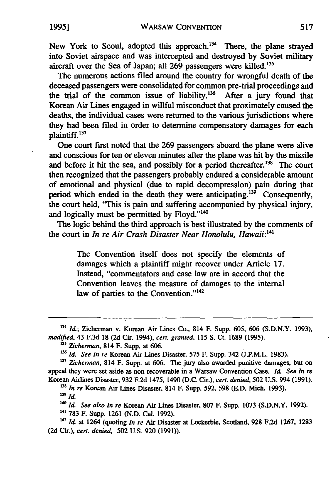New York to Seoul, adopted this approach.<sup>134</sup> There, the plane strayed into Soviet airspace and was intercepted and destroyed by Soviet military aircraft over the Sea of Japan; all 269 passengers were killed.<sup>135</sup>

The numerous actions filed around the country for wrongful death of the deceased passengers were consolidated for common pre-trial proceedings and the trial of the common issue of liability.<sup>136</sup> After a jury found that Korean Air Lines engaged in willful misconduct that proximately caused the deaths, the individual cases were returned to the various jurisdictions where they had been filed in order to determine compensatory damages for each plaintiff.137

One court first noted that the 269 passengers aboard the plane were alive and conscious for ten or eleven minutes after the plane was hit by the missile and before it hit the sea, and possibly for a period thereafter.<sup>138</sup> The court then recognized that the passengers probably endured a considerable amount of emotional and physical (due to rapid decompression) pain during that period which ended in the death they were anticipating.<sup>139</sup> Consequently, the court held, "This is pain and suffering accompanied by physical injury, and logically must be permitted by Floyd."<sup>140</sup>

The logic behind the third approach is best illustrated by the comments of the court in *In re Air Crash Disaster Near Honolulu, Hawaii:14 <sup>1</sup>*

> The Convention itself does not specify the elements of damages which a plaintiff might recover under Article **17.** Instead, "commentators and case law are in accord that the Convention leaves the measure of damages to the internal law of parties to the Convention."<sup>142</sup>

**<sup>138</sup>**In re Korean Air Lines Disaster, 814 F. Supp. 592, 598 (E.D. Mich. 1993). **<sup>139</sup>***Id.*

**'40** *Id.* **See** also **In re** Korean Air Lines Disaster, **807** F. Supp. **1073 (S.D.N.Y. 1992).**

**141 783** F. Supp. **1261 (N.D.** Cal. **1992).**

**142 Id.** at 1264 (quoting *In* **re** Air Disaster at Lockerbie, Scotland, **928 F.2d 1267, 1283 (2d** Cir.), cert. denied, **502 U.S. 920 (1991)).**

**<sup>134</sup>**Id.; Zicherman v. Korean Air Lines Co., 814 F. Supp. 605, 606 (S.D.N.Y. 1993), modified, 43 F.3d **18** (2d Cir. 1994), cert. granted, 115 **S.** Ct. 1689 (1995).

**<sup>&#</sup>x27;35** Zicherman, 814 F. Supp. at 606.

<sup>&</sup>lt;sup>136</sup> Id. See In re Korean Air Lines Disaster, 575 F. Supp. 342 (J.P.M.L. 1983).

**<sup>137</sup>**Zicherman, 814 F. Supp. at 606. The jury also awarded punitive damages, but on appeal they were set aside as non-recoverable in a Warsaw Convention Case. **Id.** See In re Korean Airlines Disaster, 932 F.2d 1475, 1490 (D.C. Cir.), cert. denied, 502 U.S. 994 (1991).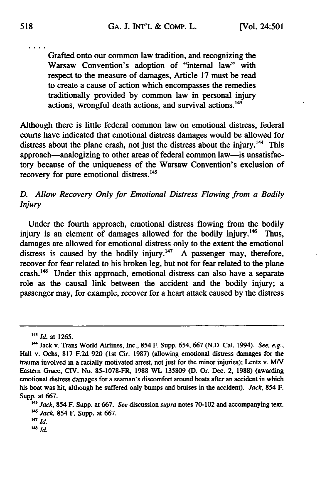Grafted onto our common law tradition, and recognizing the Warsaw Convention's adoption of "internal law" with respect to the measure of damages, Article **17** must be read to create a cause of action which encompasses the remedies traditionally provided **by** common law in personal injury actions, wrongful death actions, and survival actions.<sup>143</sup>

Although there is little federal common law on emotional distress, federal courts have indicated that emotional distress damages would be allowed for distress about the plane crash, not just the distress about the injury.<sup>144</sup> This approach—analogizing to other areas of federal common law—is unsatisfactory because of the uniqueness of the Warsaw Convention's exclusion of recovery for pure emotional distress.<sup>145</sup>

## *D. Allow Recovery Only for Emotional Distress Flowing from a Bodily Injury*

Under the fourth approach, emotional distress flowing from the bodily injury is an element of damages allowed for the bodily injury.<sup>146</sup> Thus, damages are allowed for emotional distress only to the extent the emotional distress is caused by the bodily injury.<sup>147</sup> A passenger may, therefore, recover for fear related to his broken leg, but not for fear related to the plane crash.<sup>148</sup> Under this approach, emotional distress can also have a separate role as the causal link between the accident and the bodily injury; a passenger may, for example, recover for a heart attack caused by the distress

<sup>43</sup>*Id.* at 1265.

**<sup>144</sup>** Jack v. Trans World Airlines, Inc., 854 F. Supp. 654, 667 (N.D. Cal. 1994). *See, e.g.,* Hall v. Ochs, 817 F.2d 920 (1st Cir. 1987) (allowing emotional distress damages for the trauma involved in a racially motivated arrest, not just for the minor injuries); Lentz v. *MIV* Eastern Grace, CIV. No. 85-1078-FR, 1988 WL 135809 (D. Or. Dec. 2, 1988) (awarding emotional distress damages for a seaman's discomfort around boats after an accident in which his boat was hit, although he suffered only bumps and bruises in the accident). *Jack,* 854 F. Supp. at **667.**

*<sup>45</sup>Jack,* 854 F. Supp. at **667.** *See* discussion *supra* notes **70-102** and accompanying text. *'46Jack,* 854 F. Supp. at **667.**

**<sup>147</sup>** *Id.*

*<sup>14</sup> id.*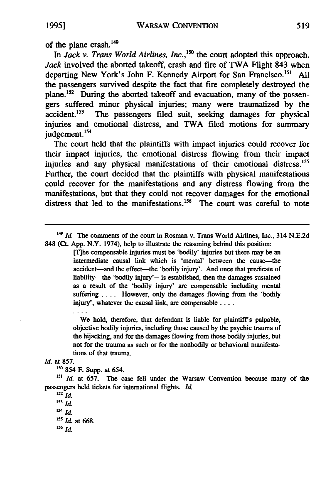of the plane crash.<sup>149</sup>

In *Jack v. Trans World Airlines, Inc.,"'5* the court adopted this approach. *Jack* involved the aborted takeoff, crash and fire of TWA Flight 843 when departing New York's John F. Kennedy Airport for San Francisco.<sup>151</sup> All the passengers survived despite the fact that fire completely destroyed the plane.<sup>152</sup> During the aborted takeoff and evacuation, many of the passengers suffered minor physical injuries; many were traumatized **by** the  $accident.<sup>153</sup>$  The passengers filed suit, seeking damages for physical injuries and emotional distress, and TWA filed motions for summary judgement.<sup>154</sup>

The court held that the plaintiffs with impact injuries could recover for their impact injuries, the emotional distress flowing from their impact injuries and any physical manifestations of their emotional distress.<sup>155</sup> Further, the court decided that the plaintiffs with physical manifestations could recover for the manifestations and any distress flowing from the manifestations, but that they could not recover damages for the emotional distress that led to the manifestations.<sup>156</sup> The court was careful to note

*<sup>149</sup>Id.* The comments of the court in Rosman v. Trans World Airlines, Inc., 314 **N.E.2d 848** (Ct. **App.** N.Y. 1974), help to illustrate the reasoning behind this position:

> [T]he compensable injuries must be 'bodily' injuries but there may be an intermediate causal link which is 'mental' between the cause-the accident-and the effect-the 'bodily injury'. And once that predicate of liability-the 'bodily injury'--is established, then the damages sustained as a result of the 'bodily injury' are compensable including mental suffering .... However, only the damages flowing from the 'bodily injury', whatever the causal link, are compensable ....

> We hold, therefore, that defendant is liable for plaintiff's palpable, objective bodily injuries, including those caused **by** the psychic trauma of the hijacking, and for the damages flowing from those bodily injuries, but not for the trauma as such or for the nonbodily or behavioral manifestations of that trauma.

*Id.* at **857.**

**'50** 854 F. Supp. at 654.

**<sup>15</sup>***Id.* at 657. The case fell under the Warsaw Convention because many of the passengers held tickets for international flights. *Id.*

**<sup>152</sup>***id.*  $153$  *Id.* 

*<sup>15</sup>id.*

*15' Id.* at **668.**

**156** *Id.*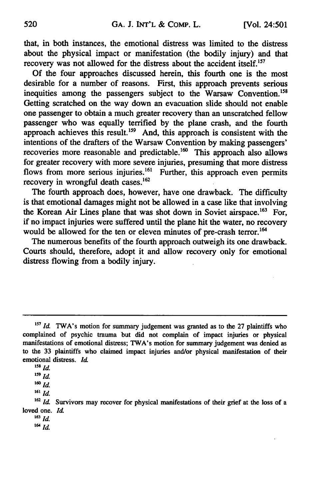that, in both instances, the emotional distress was limited to the distress about the physical impact or manifestation (the bodily injury) and that recovery was not allowed for the distress about the accident itself.<sup>157</sup>

Of the four approaches discussed herein, this fourth one is the most desirable for a number of reasons. First, this approach prevents serious inequities among the passengers subject to the Warsaw Convention.<sup>158</sup> Getting scratched on the way down an evacuation slide should not enable one passenger to obtain a much greater recovery than an unscratched fellow passenger who was equally terrified by the plane crash, and the fourth approach achieves this result.<sup>159</sup> And, this approach is consistent with the intentions of the drafters of the Warsaw Convention by making passengers' recoveries more reasonable and predictable.<sup>160</sup> This approach also allows for greater recovery with more severe injuries, presuming that more distress flows from more serious injuries.<sup>161</sup> Further, this approach even permits recovery in wrongful death cases. $162$ 

The fourth approach does, however, have one drawback. The difficulty is that emotional damages might not be allowed in a case like that involving the Korean Air Lines plane that was shot down in Soviet airspace.<sup>163</sup> For, if no impact injuries were suffered until the plane hit the water, no recovery would be allowed for the ten or eleven minutes of pre-crash terror.<sup>164</sup>

The numerous benefits of the fourth approach outweigh its one drawback. Courts should, therefore, adopt it and allow recovery only for emotional distress flowing from a bodily injury.

**<sup>161</sup>***Id.*

**<sup>163</sup>***id.*

<sup>&</sup>lt;sup>157</sup> Id. TWA's motion for summary judgement was granted as to the 27 plaintiffs who complained of psychic trauma but did not complain of impact injuries or physical manifestations of emotional distress; TWA's motion for summary judgement was denied as to the 33 plaintiffs who claimed impact injuries and/or physical manifestation of their emotional distress. *Id*

*<sup>158</sup>Id.*

*<sup>159</sup> Id.*

*<sup>1</sup>* **<sup>60</sup>***Id.*

<sup>&</sup>lt;sup>162</sup> *Id.* Survivors may recover for physical manifestations of their grief at the loss of a loved one. *Id*

<sup>16</sup>*id.*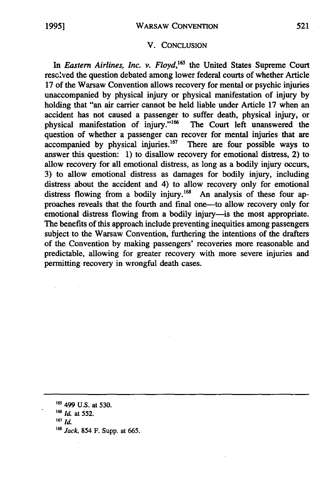### V. CONCLUSION

In *Eastern Airlines, Inc. v. Floyd*,<sup>165</sup> the United States Supreme Court resc'ved the question debated among lower federal courts of whether Article 17 of the Warsaw Convention allows recovery for mental or psychic injuries unaccompanied by physical injury or physical manifestation of injury by holding that "an air carrier cannot be held liable under Article 17 when an accident has not caused a passenger to suffer death, physical injury, or physical manifestation of injury."<sup>166</sup> The Court left unanswered the question of whether a passenger can recover for mental injuries that are accompanied by physical injuries. $167$  There are four possible ways to answer this question: 1) to disallow recovery for emotional distress, 2) to allow recovery for all emotional distress, as long as a bodily injury occurs, 3) to allow emotional distress as damages for bodily injury, including distress about the accident and 4) to allow recovery only for emotional distress flowing from a bodily injury.<sup>168</sup> An analysis of these four approaches reveals that the fourth and final one-to allow recovery only for emotional distress flowing from a bodily injury-is the most appropriate. The benefits of this approach include preventing inequities among passengers subject to the Warsaw Convention, furthering the intentions of the drafters of the Convention by making passengers' recoveries more reasonable and predictable, allowing for greater recovery with more severe injuries and permitting recovery in wrongful death cases.

**<sup>&#</sup>x27;6'** 499 U.S. at 530. **'6** *Id.* at **552. <sup>167</sup>***Id.* <sup>168</sup> *Jack*, 854 F. Supp. at 665.